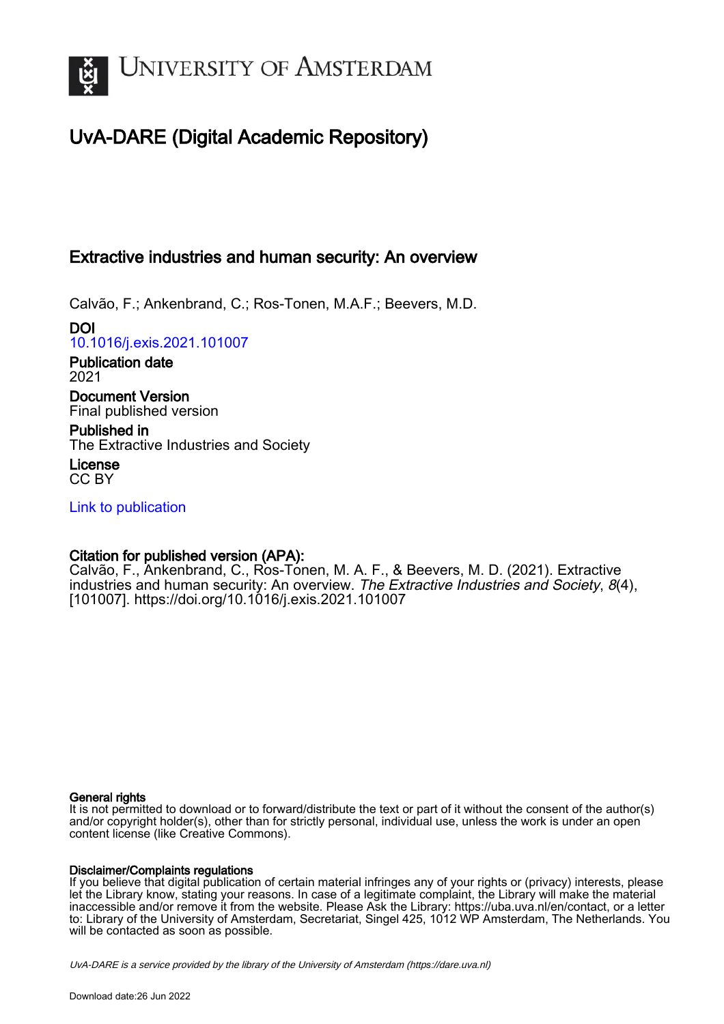

# UvA-DARE (Digital Academic Repository)

## Extractive industries and human security: An overview

Calvão, F.; Ankenbrand, C.; Ros-Tonen, M.A.F.; Beevers, M.D.

DOI [10.1016/j.exis.2021.101007](https://doi.org/10.1016/j.exis.2021.101007)

Publication date 2021 Document Version

Final published version

Published in The Extractive Industries and Society

License CC BY

[Link to publication](https://dare.uva.nl/personal/pure/en/publications/extractive-industries-and-human-security-an-overview(fa694872-db08-475d-8c8f-1c2e8079ec5a).html)

### Citation for published version (APA):

Calvão, F., Ankenbrand, C., Ros-Tonen, M. A. F., & Beevers, M. D. (2021). Extractive industries and human security: An overview. The Extractive Industries and Society, 8(4), [101007].<https://doi.org/10.1016/j.exis.2021.101007>

### General rights

It is not permitted to download or to forward/distribute the text or part of it without the consent of the author(s) and/or copyright holder(s), other than for strictly personal, individual use, unless the work is under an open content license (like Creative Commons).

### Disclaimer/Complaints regulations

If you believe that digital publication of certain material infringes any of your rights or (privacy) interests, please let the Library know, stating your reasons. In case of a legitimate complaint, the Library will make the material inaccessible and/or remove it from the website. Please Ask the Library: https://uba.uva.nl/en/contact, or a letter to: Library of the University of Amsterdam, Secretariat, Singel 425, 1012 WP Amsterdam, The Netherlands. You will be contacted as soon as possible.

UvA-DARE is a service provided by the library of the University of Amsterdam (http*s*://dare.uva.nl)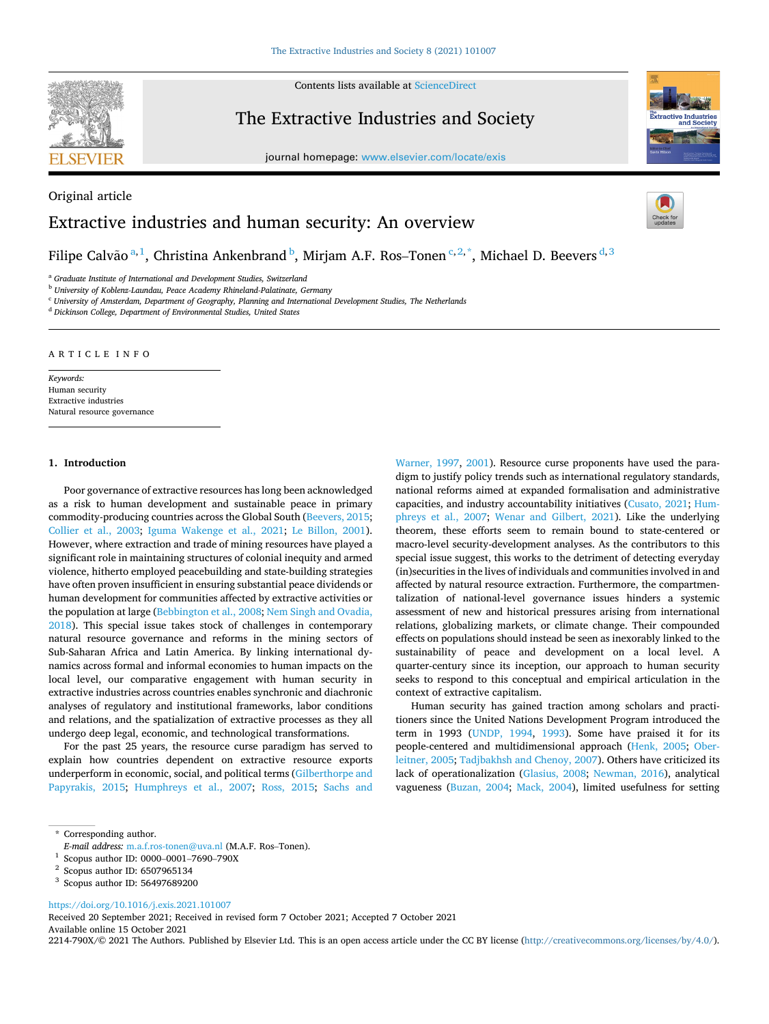

Contents lists available at [ScienceDirect](www.sciencedirect.com/science/journal/2214790X)

## The Extractive Industries and Society

journal homepage: [www.elsevier.com/locate/exis](https://www.elsevier.com/locate/exis) 



# Original article Extractive industries and human security: An overview



Filipe Calvão $a,1}$ , Christina Ankenbrand $^{\rm b}$ , Mirjam A.F. Ros–Tonen $^{{\rm c},2,*}$ , Michael D. Beevers $^{{\rm d},3}$ 

<sup>a</sup> *Graduate Institute of International and Development Studies, Switzerland* 

<sup>b</sup> *University of Koblenz-Laundau, Peace Academy Rhineland-Palatinate, Germany* 

<sup>c</sup> *University of Amsterdam, Department of Geography, Planning and International Development Studies, The Netherlands* 

<sup>d</sup> *Dickinson College, Department of Environmental Studies, United States* 

#### ARTICLE INFO

*Keywords:*  Human security Extractive industries Natural resource governance

#### **1. Introduction**

Poor governance of extractive resources has long been acknowledged as a risk to human development and sustainable peace in primary commodity-producing countries across the Global South [\(Beevers, 2015](#page-4-0); [Collier et al., 2003](#page-4-0); [Iguma Wakenge et al., 2021](#page-4-0); [Le Billon, 2001](#page-4-0)). However, where extraction and trade of mining resources have played a significant role in maintaining structures of colonial inequity and armed violence, hitherto employed peacebuilding and state-building strategies have often proven insufficient in ensuring substantial peace dividends or human development for communities affected by extractive activities or the population at large ([Bebbington et al., 2008;](#page-4-0) [Nem Singh and Ovadia,](#page-5-0)  [2018\)](#page-5-0). This special issue takes stock of challenges in contemporary natural resource governance and reforms in the mining sectors of Sub-Saharan Africa and Latin America. By linking international dynamics across formal and informal economies to human impacts on the local level, our comparative engagement with human security in extractive industries across countries enables synchronic and diachronic analyses of regulatory and institutional frameworks, labor conditions and relations, and the spatialization of extractive processes as they all undergo deep legal, economic, and technological transformations.

For the past 25 years, the resource curse paradigm has served to explain how countries dependent on extractive resource exports underperform in economic, social, and political terms ([Gilberthorpe and](#page-4-0)  [Papyrakis, 2015](#page-4-0); [Humphreys et al., 2007](#page-4-0); [Ross, 2015;](#page-5-0) [Sachs and](#page-5-0) 

[Warner, 1997,](#page-5-0) [2001](#page-5-0)). Resource curse proponents have used the paradigm to justify policy trends such as international regulatory standards, national reforms aimed at expanded formalisation and administrative capacities, and industry accountability initiatives ([Cusato, 2021](#page-4-0); [Hum](#page-4-0)[phreys et al., 2007](#page-4-0); [Wenar and Gilbert, 2021](#page-5-0)). Like the underlying theorem, these efforts seem to remain bound to state-centered or macro-level security-development analyses. As the contributors to this special issue suggest, this works to the detriment of detecting everyday (in)securities in the lives of individuals and communities involved in and affected by natural resource extraction. Furthermore, the compartmentalization of national-level governance issues hinders a systemic assessment of new and historical pressures arising from international relations, globalizing markets, or climate change. Their compounded effects on populations should instead be seen as inexorably linked to the sustainability of peace and development on a local level. A quarter-century since its inception, our approach to human security seeks to respond to this conceptual and empirical articulation in the context of extractive capitalism.

Human security has gained traction among scholars and practitioners since the United Nations Development Program introduced the term in 1993 ([UNDP, 1994,](#page-5-0) [1993\)](#page-5-0). Some have praised it for its people-centered and multidimensional approach [\(Henk, 2005;](#page-4-0) [Ober](#page-5-0)[leitner, 2005; Tadjbakhsh and Chenoy, 2007](#page-5-0)). Others have criticized its lack of operationalization [\(Glasius, 2008](#page-4-0); [Newman, 2016\)](#page-5-0), analytical vagueness ([Buzan, 2004](#page-4-0); [Mack, 2004](#page-4-0)), limited usefulness for setting

<https://doi.org/10.1016/j.exis.2021.101007>

Available online 15 October 2021 Received 20 September 2021; Received in revised form 7 October 2021; Accepted 7 October 2021

2214-790X/© 2021 The Authors. Published by Elsevier Ltd. This is an open access article under the CC BY license [\(http://creativecommons.org/licenses/by/4.0/\)](http://creativecommons.org/licenses/by/4.0/).

<sup>\*</sup> Corresponding author.

*E-mail address:* m.a.f.ros-tonen@uva.nl (M.A.F. Ros–Tonen).<br>
<sup>1</sup> Scopus author ID: 0000–0001–7690–790X<br>
<sup>2</sup> Scopus author ID: 6507965134<br>
<sup>3</sup> Scopus author ID: 56497689200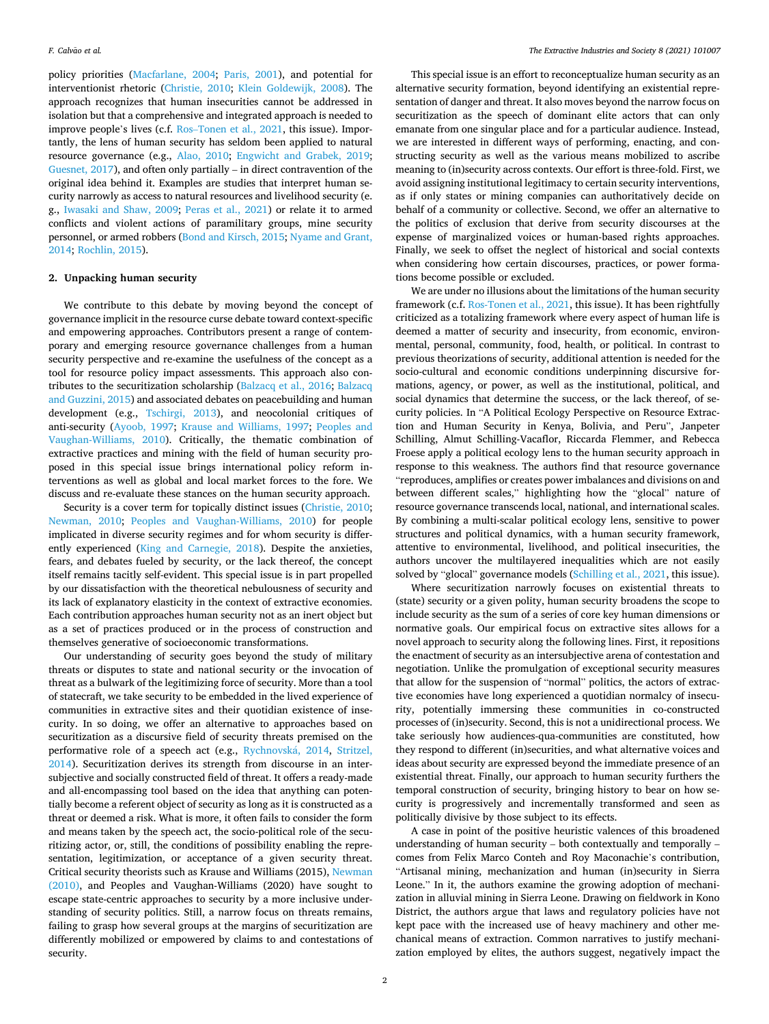policy priorities [\(Macfarlane, 2004;](#page-4-0) [Paris, 2001\)](#page-5-0), and potential for interventionist rhetoric ([Christie, 2010;](#page-4-0) [Klein Goldewijk, 2008](#page-4-0)). The approach recognizes that human insecurities cannot be addressed in isolation but that a comprehensive and integrated approach is needed to improve people's lives (c.f. Ros–[Tonen et al., 2021](#page-5-0), this issue). Importantly, the lens of human security has seldom been applied to natural resource governance (e.g., [Alao, 2010](#page-4-0); [Engwicht and Grabek, 2019](#page-4-0); [Guesnet, 2017](#page-4-0)), and often only partially – in direct contravention of the original idea behind it. Examples are studies that interpret human security narrowly as access to natural resources and livelihood security (e. g., [Iwasaki and Shaw, 2009](#page-4-0); [Peras et al., 2021\)](#page-5-0) or relate it to armed conflicts and violent actions of paramilitary groups, mine security personnel, or armed robbers [\(Bond and Kirsch, 2015;](#page-4-0) [Nyame and Grant,](#page-5-0)  [2014; Rochlin, 2015\)](#page-5-0).

#### **2. Unpacking human security**

We contribute to this debate by moving beyond the concept of governance implicit in the resource curse debate toward context-specific and empowering approaches. Contributors present a range of contemporary and emerging resource governance challenges from a human security perspective and re-examine the usefulness of the concept as a tool for resource policy impact assessments. This approach also contributes to the securitization scholarship [\(Balzacq et al., 2016;](#page-4-0) [Balzacq](#page-4-0)  [and Guzzini, 2015](#page-4-0)) and associated debates on peacebuilding and human development (e.g., [Tschirgi, 2013\)](#page-5-0), and neocolonial critiques of anti-security [\(Ayoob, 1997;](#page-4-0) [Krause and Williams, 1997](#page-4-0); [Peoples and](#page-5-0)  [Vaughan-Williams, 2010](#page-5-0)). Critically, the thematic combination of extractive practices and mining with the field of human security proposed in this special issue brings international policy reform interventions as well as global and local market forces to the fore. We discuss and re-evaluate these stances on the human security approach.

Security is a cover term for topically distinct issues [\(Christie, 2010](#page-4-0); [Newman, 2010](#page-5-0); [Peoples and Vaughan-Williams, 2010\)](#page-5-0) for people implicated in diverse security regimes and for whom security is differently experienced ([King and Carnegie, 2018\)](#page-4-0). Despite the anxieties, fears, and debates fueled by security, or the lack thereof, the concept itself remains tacitly self-evident. This special issue is in part propelled by our dissatisfaction with the theoretical nebulousness of security and its lack of explanatory elasticity in the context of extractive economies. Each contribution approaches human security not as an inert object but as a set of practices produced or in the process of construction and themselves generative of socioeconomic transformations.

Our understanding of security goes beyond the study of military threats or disputes to state and national security or the invocation of threat as a bulwark of the legitimizing force of security. More than a tool of statecraft, we take security to be embedded in the lived experience of communities in extractive sites and their quotidian existence of insecurity. In so doing, we offer an alternative to approaches based on securitization as a discursive field of security threats premised on the performative role of a speech act (e.g., Rychnovská, 2014, Stritzel, [2014\)](#page-5-0). Securitization derives its strength from discourse in an intersubjective and socially constructed field of threat. It offers a ready-made and all-encompassing tool based on the idea that anything can potentially become a referent object of security as long as it is constructed as a threat or deemed a risk. What is more, it often fails to consider the form and means taken by the speech act, the socio-political role of the securitizing actor, or, still, the conditions of possibility enabling the representation, legitimization, or acceptance of a given security threat. Critical security theorists such as Krause and Williams (2015), [Newman](#page-5-0)  [\(2010\),](#page-5-0) and Peoples and Vaughan-Williams (2020) have sought to escape state-centric approaches to security by a more inclusive understanding of security politics. Still, a narrow focus on threats remains, failing to grasp how several groups at the margins of securitization are differently mobilized or empowered by claims to and contestations of security.

This special issue is an effort to reconceptualize human security as an alternative security formation, beyond identifying an existential representation of danger and threat. It also moves beyond the narrow focus on securitization as the speech of dominant elite actors that can only emanate from one singular place and for a particular audience. Instead, we are interested in different ways of performing, enacting, and constructing security as well as the various means mobilized to ascribe meaning to (in)security across contexts. Our effort is three-fold. First, we avoid assigning institutional legitimacy to certain security interventions, as if only states or mining companies can authoritatively decide on behalf of a community or collective. Second, we offer an alternative to the politics of exclusion that derive from security discourses at the expense of marginalized voices or human-based rights approaches. Finally, we seek to offset the neglect of historical and social contexts when considering how certain discourses, practices, or power formations become possible or excluded.

We are under no illusions about the limitations of the human security framework (c.f. [Ros-Tonen et al., 2021](#page-5-0), this issue). It has been rightfully criticized as a totalizing framework where every aspect of human life is deemed a matter of security and insecurity, from economic, environmental, personal, community, food, health, or political. In contrast to previous theorizations of security, additional attention is needed for the socio-cultural and economic conditions underpinning discursive formations, agency, or power, as well as the institutional, political, and social dynamics that determine the success, or the lack thereof, of security policies. In "A Political Ecology Perspective on Resource Extraction and Human Security in Kenya, Bolivia, and Peru", Janpeter Schilling, Almut Schilling-Vacaflor, Riccarda Flemmer, and Rebecca Froese apply a political ecology lens to the human security approach in response to this weakness. The authors find that resource governance "reproduces, amplifies or creates power imbalances and divisions on and between different scales," highlighting how the "glocal" nature of resource governance transcends local, national, and international scales. By combining a multi-scalar political ecology lens, sensitive to power structures and political dynamics, with a human security framework, attentive to environmental, livelihood, and political insecurities, the authors uncover the multilayered inequalities which are not easily solved by "glocal" governance models [\(Schilling et al., 2021](#page-5-0), this issue).

Where securitization narrowly focuses on existential threats to (state) security or a given polity, human security broadens the scope to include security as the sum of a series of core key human dimensions or normative goals. Our empirical focus on extractive sites allows for a novel approach to security along the following lines. First, it repositions the enactment of security as an intersubjective arena of contestation and negotiation. Unlike the promulgation of exceptional security measures that allow for the suspension of "normal" politics, the actors of extractive economies have long experienced a quotidian normalcy of insecurity, potentially immersing these communities in co-constructed processes of (in)security. Second, this is not a unidirectional process. We take seriously how audiences-qua-communities are constituted, how they respond to different (in)securities, and what alternative voices and ideas about security are expressed beyond the immediate presence of an existential threat. Finally, our approach to human security furthers the temporal construction of security, bringing history to bear on how security is progressively and incrementally transformed and seen as politically divisive by those subject to its effects.

A case in point of the positive heuristic valences of this broadened understanding of human security – both contextually and temporally – comes from Felix Marco Conteh and Roy Maconachie's contribution, "Artisanal mining, mechanization and human (in)security in Sierra Leone." In it, the authors examine the growing adoption of mechanization in alluvial mining in Sierra Leone. Drawing on fieldwork in Kono District, the authors argue that laws and regulatory policies have not kept pace with the increased use of heavy machinery and other mechanical means of extraction. Common narratives to justify mechanization employed by elites, the authors suggest, negatively impact the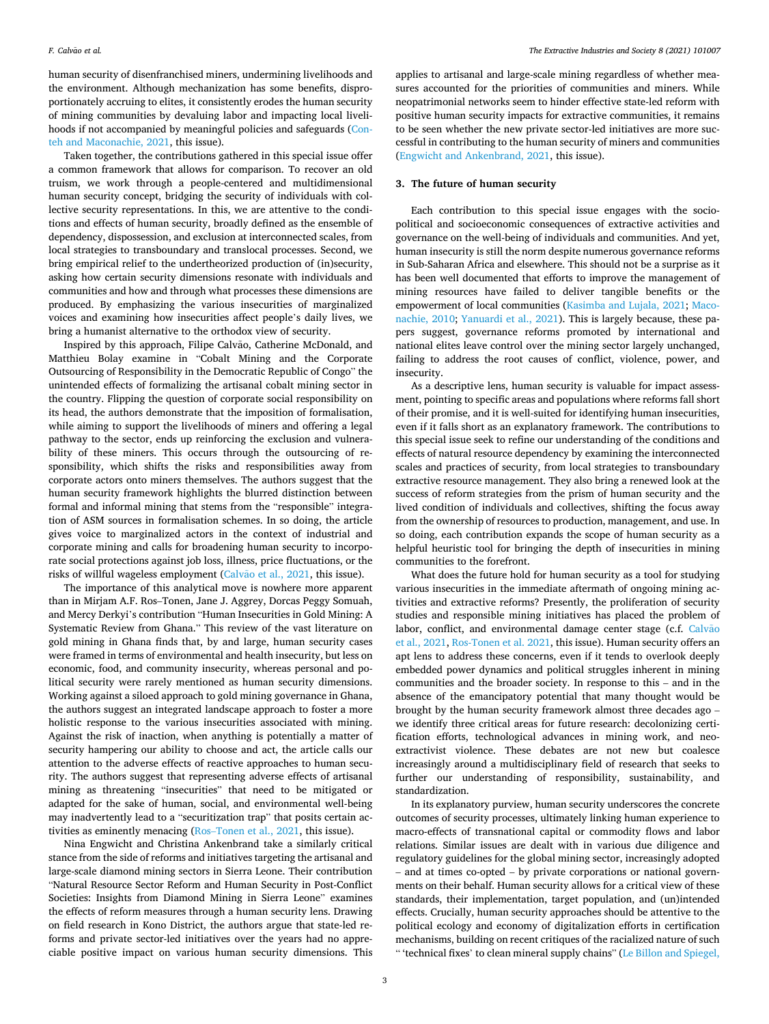human security of disenfranchised miners, undermining livelihoods and the environment. Although mechanization has some benefits, disproportionately accruing to elites, it consistently erodes the human security of mining communities by devaluing labor and impacting local livelihoods if not accompanied by meaningful policies and safeguards [\(Con](#page-4-0)[teh and Maconachie, 2021](#page-4-0), this issue).

Taken together, the contributions gathered in this special issue offer a common framework that allows for comparison. To recover an old truism, we work through a people-centered and multidimensional human security concept, bridging the security of individuals with collective security representations. In this, we are attentive to the conditions and effects of human security, broadly defined as the ensemble of dependency, dispossession, and exclusion at interconnected scales, from local strategies to transboundary and translocal processes. Second, we bring empirical relief to the undertheorized production of (in)security, asking how certain security dimensions resonate with individuals and communities and how and through what processes these dimensions are produced. By emphasizing the various insecurities of marginalized voices and examining how insecurities affect people's daily lives, we bring a humanist alternative to the orthodox view of security.

Inspired by this approach, Filipe Calvão, Catherine McDonald, and Matthieu Bolay examine in "Cobalt Mining and the Corporate Outsourcing of Responsibility in the Democratic Republic of Congo" the unintended effects of formalizing the artisanal cobalt mining sector in the country. Flipping the question of corporate social responsibility on its head, the authors demonstrate that the imposition of formalisation, while aiming to support the livelihoods of miners and offering a legal pathway to the sector, ends up reinforcing the exclusion and vulnerability of these miners. This occurs through the outsourcing of responsibility, which shifts the risks and responsibilities away from corporate actors onto miners themselves. The authors suggest that the human security framework highlights the blurred distinction between formal and informal mining that stems from the "responsible" integration of ASM sources in formalisation schemes. In so doing, the article gives voice to marginalized actors in the context of industrial and corporate mining and calls for broadening human security to incorporate social protections against job loss, illness, price fluctuations, or the risks of willful wageless employment (Calvão [et al., 2021](#page-4-0), this issue).

The importance of this analytical move is nowhere more apparent than in Mirjam A.F. Ros–Tonen, Jane J. Aggrey, Dorcas Peggy Somuah, and Mercy Derkyi's contribution "Human Insecurities in Gold Mining: A Systematic Review from Ghana." This review of the vast literature on gold mining in Ghana finds that, by and large, human security cases were framed in terms of environmental and health insecurity, but less on economic, food, and community insecurity, whereas personal and political security were rarely mentioned as human security dimensions. Working against a siloed approach to gold mining governance in Ghana, the authors suggest an integrated landscape approach to foster a more holistic response to the various insecurities associated with mining. Against the risk of inaction, when anything is potentially a matter of security hampering our ability to choose and act, the article calls our attention to the adverse effects of reactive approaches to human security. The authors suggest that representing adverse effects of artisanal mining as threatening "insecurities" that need to be mitigated or adapted for the sake of human, social, and environmental well-being may inadvertently lead to a "securitization trap" that posits certain activities as eminently menacing (Ros–[Tonen et al., 2021](#page-5-0), this issue).

Nina Engwicht and Christina Ankenbrand take a similarly critical stance from the side of reforms and initiatives targeting the artisanal and large-scale diamond mining sectors in Sierra Leone. Their contribution "Natural Resource Sector Reform and Human Security in Post-Conflict Societies: Insights from Diamond Mining in Sierra Leone" examines the effects of reform measures through a human security lens. Drawing on field research in Kono District, the authors argue that state-led reforms and private sector-led initiatives over the years had no appreciable positive impact on various human security dimensions. This applies to artisanal and large-scale mining regardless of whether measures accounted for the priorities of communities and miners. While neopatrimonial networks seem to hinder effective state-led reform with positive human security impacts for extractive communities, it remains to be seen whether the new private sector-led initiatives are more successful in contributing to the human security of miners and communities ([Engwicht and Ankenbrand, 2021](#page-4-0), this issue).

#### **3. The future of human security**

Each contribution to this special issue engages with the sociopolitical and socioeconomic consequences of extractive activities and governance on the well-being of individuals and communities. And yet, human insecurity is still the norm despite numerous governance reforms in Sub-Saharan Africa and elsewhere. This should not be a surprise as it has been well documented that efforts to improve the management of mining resources have failed to deliver tangible benefits or the empowerment of local communities [\(Kasimba and Lujala, 2021](#page-4-0); [Maco](#page-4-0)[nachie, 2010;](#page-4-0) [Yanuardi et al., 2021\)](#page-5-0). This is largely because, these papers suggest, governance reforms promoted by international and national elites leave control over the mining sector largely unchanged, failing to address the root causes of conflict, violence, power, and insecurity.

As a descriptive lens, human security is valuable for impact assessment, pointing to specific areas and populations where reforms fall short of their promise, and it is well-suited for identifying human insecurities, even if it falls short as an explanatory framework. The contributions to this special issue seek to refine our understanding of the conditions and effects of natural resource dependency by examining the interconnected scales and practices of security, from local strategies to transboundary extractive resource management. They also bring a renewed look at the success of reform strategies from the prism of human security and the lived condition of individuals and collectives, shifting the focus away from the ownership of resources to production, management, and use. In so doing, each contribution expands the scope of human security as a helpful heuristic tool for bringing the depth of insecurities in mining communities to the forefront.

What does the future hold for human security as a tool for studying various insecurities in the immediate aftermath of ongoing mining activities and extractive reforms? Presently, the proliferation of security studies and responsible mining initiatives has placed the problem of labor, conflict, and environmental damage center stage (c.f. [Calv](#page-4-0)ão [et al., 2021,](#page-4-0) [Ros-Tonen et al. 2021,](#page-5-0) this issue). Human security offers an apt lens to address these concerns, even if it tends to overlook deeply embedded power dynamics and political struggles inherent in mining communities and the broader society. In response to this – and in the absence of the emancipatory potential that many thought would be brought by the human security framework almost three decades ago – we identify three critical areas for future research: decolonizing certification efforts, technological advances in mining work, and neoextractivist violence. These debates are not new but coalesce increasingly around a multidisciplinary field of research that seeks to further our understanding of responsibility, sustainability, and standardization.

In its explanatory purview, human security underscores the concrete outcomes of security processes, ultimately linking human experience to macro-effects of transnational capital or commodity flows and labor relations. Similar issues are dealt with in various due diligence and regulatory guidelines for the global mining sector, increasingly adopted – and at times co-opted – by private corporations or national governments on their behalf. Human security allows for a critical view of these standards, their implementation, target population, and (un)intended effects. Crucially, human security approaches should be attentive to the political ecology and economy of digitalization efforts in certification mechanisms, building on recent critiques of the racialized nature of such " 'technical fixes' to clean mineral supply chains" ([Le Billon and Spiegel,](#page-4-0)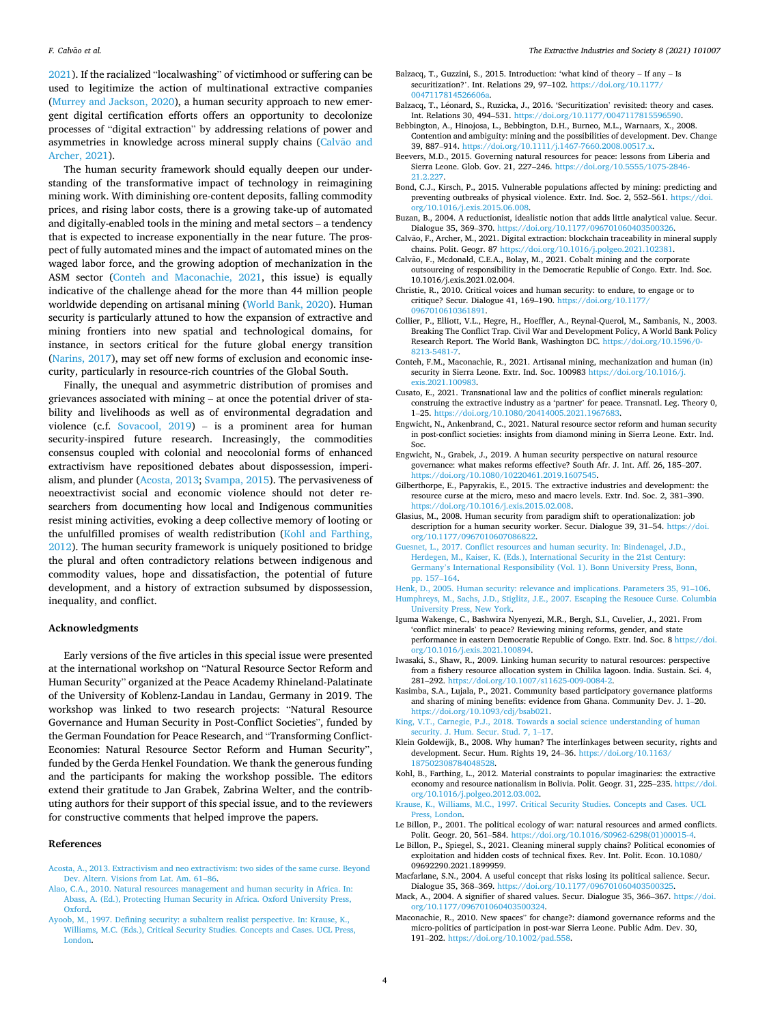<span id="page-4-0"></span>2021). If the racialized "localwashing" of victimhood or suffering can be used to legitimize the action of multinational extractive companies ([Murrey and Jackson, 2020](#page-5-0)), a human security approach to new emergent digital certification efforts offers an opportunity to decolonize processes of "digital extraction" by addressing relations of power and asymmetries in knowledge across mineral supply chains (Calvão and Archer, 2021).

The human security framework should equally deepen our understanding of the transformative impact of technology in reimagining mining work. With diminishing ore-content deposits, falling commodity prices, and rising labor costs, there is a growing take-up of automated and digitally-enabled tools in the mining and metal sectors – a tendency that is expected to increase exponentially in the near future. The prospect of fully automated mines and the impact of automated mines on the waged labor force, and the growing adoption of mechanization in the ASM sector (Conteh and Maconachie, 2021, this issue) is equally indicative of the challenge ahead for the more than 44 million people worldwide depending on artisanal mining [\(World Bank, 2020](#page-5-0)). Human security is particularly attuned to how the expansion of extractive and mining frontiers into new spatial and technological domains, for instance, in sectors critical for the future global energy transition ([Narins, 2017](#page-5-0)), may set off new forms of exclusion and economic insecurity, particularly in resource-rich countries of the Global South.

Finally, the unequal and asymmetric distribution of promises and grievances associated with mining – at once the potential driver of stability and livelihoods as well as of environmental degradation and violence (c.f. [Sovacool, 2019](#page-5-0)) – is a prominent area for human security-inspired future research. Increasingly, the commodities consensus coupled with colonial and neocolonial forms of enhanced extractivism have repositioned debates about dispossession, imperialism, and plunder (Acosta, 2013; [Svampa, 2015\)](#page-5-0). The pervasiveness of neoextractivist social and economic violence should not deter researchers from documenting how local and Indigenous communities resist mining activities, evoking a deep collective memory of looting or the unfulfilled promises of wealth redistribution (Kohl and Farthing, 2012). The human security framework is uniquely positioned to bridge the plural and often contradictory relations between indigenous and commodity values, hope and dissatisfaction, the potential of future development, and a history of extraction subsumed by dispossession, inequality, and conflict.

#### **Acknowledgments**

Early versions of the five articles in this special issue were presented at the international workshop on "Natural Resource Sector Reform and Human Security" organized at the Peace Academy Rhineland-Palatinate of the University of Koblenz-Landau in Landau, Germany in 2019. The workshop was linked to two research projects: "Natural Resource Governance and Human Security in Post-Conflict Societies", funded by the German Foundation for Peace Research, and "Transforming Conflict-Economies: Natural Resource Sector Reform and Human Security", funded by the Gerda Henkel Foundation. We thank the generous funding and the participants for making the workshop possible. The editors extend their gratitude to Jan Grabek, Zabrina Welter, and the contributing authors for their support of this special issue, and to the reviewers for constructive comments that helped improve the papers.

#### **References**

- [Acosta, A., 2013. Extractivism and neo extractivism: two sides of the same curse. Beyond](http://refhub.elsevier.com/S2214-790X(21)00178-7/sbref0001)  [Dev. Altern. Visions from Lat. Am. 61](http://refhub.elsevier.com/S2214-790X(21)00178-7/sbref0001)–86.
- [Alao, C.A., 2010. Natural resources management and human security in Africa. In:](http://refhub.elsevier.com/S2214-790X(21)00178-7/sbref0002)  [Abass, A. \(Ed.\), Protecting Human Security in Africa. Oxford University Press,](http://refhub.elsevier.com/S2214-790X(21)00178-7/sbref0002) [Oxford](http://refhub.elsevier.com/S2214-790X(21)00178-7/sbref0002).
- [Ayoob, M., 1997. Defining security: a subaltern realist perspective. In: Krause, K.,](http://refhub.elsevier.com/S2214-790X(21)00178-7/sbref0003)  [Williams, M.C. \(Eds.\), Critical Security Studies. Concepts and Cases. UCL Press,](http://refhub.elsevier.com/S2214-790X(21)00178-7/sbref0003)  [London.](http://refhub.elsevier.com/S2214-790X(21)00178-7/sbref0003)
- Balzacq, T., Guzzini, S., 2015. Introduction: 'what kind of theory If any Is securitization?'. Int. Relations 29, 97-102. https://doi.org/10.1177/ 0047117814526606
- Balzacq, T., Léonard, S., Ruzicka, J., 2016. 'Securitization' revisited: theory and cases. Int. Relations 30, 494-531. https://doi.org/10.1177/00471178155965
- Bebbington, A., Hinojosa, L., Bebbington, D.H., Burneo, M.L., Warnaars, X., 2008. Contention and ambiguity: mining and the possibilities of development. Dev. Change 39, 887–914.<https://doi.org/10.1111/j.1467-7660.2008.00517.x>.
- Beevers, M.D., 2015. Governing natural resources for peace: lessons from Liberia and Sierra Leone. Glob. Gov. 21, 227–246. [https://doi.org/10.5555/1075-2846-](https://doi.org/10.5555/1075-2846-21.2.227)  [21.2.227.](https://doi.org/10.5555/1075-2846-21.2.227)
- Bond, C.J., Kirsch, P., 2015. Vulnerable populations affected by mining: predicting and preventing outbreaks of physical violence. Extr. Ind. Soc. 2, 552–561. [https://doi.](https://doi.org/10.1016/j.exis.2015.06.008)  [org/10.1016/j.exis.2015.06.008.](https://doi.org/10.1016/j.exis.2015.06.008)
- Buzan, B., 2004. A reductionist, idealistic notion that adds little analytical value. Secur. Dialogue 35, 369-370. https://doi.org/10.1177/0967010604035003
- Calvão, F., Archer, M., 2021. Digital extraction: blockchain traceability in mineral supply chains. Polit. Geogr. 87 <https://doi.org/10.1016/j.polgeo.2021.102381>.
- Calvão, F., Mcdonald, C.E.A., Bolay, M., 2021. Cobalt mining and the corporate outsourcing of responsibility in the Democratic Republic of Congo. Extr. Ind. Soc. 10.1016/j.exis.2021.02.004.
- Christie, R., 2010. Critical voices and human security: to endure, to engage or to critique? Secur. Dialogue 41, 169–190. [https://doi.org/10.1177/](https://doi.org/10.1177/0967010610361891)  [0967010610361891.](https://doi.org/10.1177/0967010610361891)
- Collier, P., Elliott, V.L., Hegre, H., Hoeffler, A., Reynal-Querol, M., Sambanis, N., 2003. Breaking The Conflict Trap. Civil War and Development Policy, A World Bank Policy Research Report. The World Bank, Washington DC. [https://doi.org/10.1596/0-](https://doi.org/10.1596/0-8213-5481-7)  [8213-5481-7.](https://doi.org/10.1596/0-8213-5481-7)
- Conteh, F.M., Maconachie, R., 2021. Artisanal mining, mechanization and human (in) security in Sierra Leone. Extr. Ind. Soc. 100983 [https://doi.org/10.1016/j.](https://doi.org/10.1016/j.exis.2021.100983) [exis.2021.100983.](https://doi.org/10.1016/j.exis.2021.100983)
- Cusato, E., 2021. Transnational law and the politics of conflict minerals regulation: construing the extractive industry as a 'partner' for peace. Transnatl. Leg. Theory 0, 1–25. [https://doi.org/10.1080/20414005.2021.1967683.](https://doi.org/10.1080/20414005.2021.1967683)
- Engwicht, N., Ankenbrand, C., 2021. Natural resource sector reform and human security in post-conflict societies: insights from diamond mining in Sierra Leone. Extr. Ind. Soc.
- Engwicht, N., Grabek, J., 2019. A human security perspective on natural resource governance: what makes reforms effective? South Afr. J. Int. Aff. 26, 185–207. <https://doi.org/10.1080/10220461.2019.1607545>.
- Gilberthorpe, E., Papyrakis, E., 2015. The extractive industries and development: the resource curse at the micro, meso and macro levels. Extr. Ind. Soc. 2, 381–390. <https://doi.org/10.1016/j.exis.2015.02.008>.
- Glasius, M., 2008. Human security from paradigm shift to operationalization: job description for a human security worker. Secur. Dialogue 39, 31–54. [https://doi.](https://doi.org/10.1177/0967010607086822)  [org/10.1177/0967010607086822.](https://doi.org/10.1177/0967010607086822)
- [Guesnet, L., 2017. Conflict resources and human security. In: Bindenagel, J.D.,](http://refhub.elsevier.com/S2214-790X(21)00178-7/sbref0020) [Herdegen, M., Kaiser, K. \(Eds.\), International Security in the 21st Century:](http://refhub.elsevier.com/S2214-790X(21)00178-7/sbref0020) Germany'[s International Responsibility \(Vol. 1\). Bonn University Press, Bonn,](http://refhub.elsevier.com/S2214-790X(21)00178-7/sbref0020) [pp. 157](http://refhub.elsevier.com/S2214-790X(21)00178-7/sbref0020)–164.
- [Henk, D., 2005. Human security: relevance and implications. Parameters 35, 91](http://refhub.elsevier.com/S2214-790X(21)00178-7/sbref0021)–106. [Humphreys, M., Sachs, J.D., Stiglitz, J.E., 2007. Escaping the Resouce Curse. Columbia](http://refhub.elsevier.com/S2214-790X(21)00178-7/sbref0022) [University Press, New York](http://refhub.elsevier.com/S2214-790X(21)00178-7/sbref0022).
- Iguma Wakenge, C., Bashwira Nyenyezi, M.R., Bergh, S.I., Cuvelier, J., 2021. From 'conflict minerals' to peace? Reviewing mining reforms, gender, and state performance in eastern Democratic Republic of Congo. Extr. Ind. Soc. 8 [https://doi.](https://doi.org/10.1016/j.exis.2021.100894)  [org/10.1016/j.exis.2021.100894](https://doi.org/10.1016/j.exis.2021.100894).
- Iwasaki, S., Shaw, R., 2009. Linking human security to natural resources: perspective from a fishery resource allocation system in Chilika lagoon. India. Sustain. Sci. 4, 281–292. <https://doi.org/10.1007/s11625-009-0084-2>.
- Kasimba, S.A., Lujala, P., 2021. Community based participatory governance platforms and sharing of mining benefits: evidence from Ghana. Community Dev. J. 1–20. [https://doi.org/10.1093/cdj/bsab021.](https://doi.org/10.1093/cdj/bsab021)
- [King, V.T., Carnegie, P.J., 2018. Towards a social science understanding of human](http://refhub.elsevier.com/S2214-790X(21)00178-7/sbref0026) [security. J. Hum. Secur. Stud. 7, 1](http://refhub.elsevier.com/S2214-790X(21)00178-7/sbref0026)–17.
- Klein Goldewijk, B., 2008. Why human? The interlinkages between security, rights and development. Secur. Hum. Rights 19, 24–36. [https://doi.org/10.1163/](https://doi.org/10.1163/187502308784048528) [187502308784048528](https://doi.org/10.1163/187502308784048528).
- Kohl, B., Farthing, L., 2012. Material constraints to popular imaginaries: the extractive economy and resource nationalism in Bolivia. Polit. Geogr. 31, 225–235. [https://doi.](https://doi.org/10.1016/j.polgeo.2012.03.002)  [org/10.1016/j.polgeo.2012.03.002.](https://doi.org/10.1016/j.polgeo.2012.03.002)
- [Krause, K., Williams, M.C., 1997. Critical Security Studies. Concepts and Cases. UCL](http://refhub.elsevier.com/S2214-790X(21)00178-7/sbref0029)  [Press, London](http://refhub.elsevier.com/S2214-790X(21)00178-7/sbref0029).
- Le Billon, P., 2001. The political ecology of war: natural resources and armed conflicts. Polit. Geogr. 20, 561–584. [https://doi.org/10.1016/S0962-6298\(01\)00015-4.](https://doi.org/10.1016/S0962-6298(01)00015-4)
- Le Billon, P., Spiegel, S., 2021. Cleaning mineral supply chains? Political economies of exploitation and hidden costs of technical fixes. Rev. Int. Polit. Econ. 10.1080/ 09692290.2021.1899959.
- Macfarlane, S.N., 2004. A useful concept that risks losing its political salience. Secur. Dialogue 35, 368-369. https://doi.org/10.1177/09670106040350032.
- Mack, A., 2004. A signifier of shared values. Secur. Dialogue 35, 366–367. [https://doi.](https://doi.org/10.1177/096701060403500324)  [org/10.1177/096701060403500324](https://doi.org/10.1177/096701060403500324).
- Maconachie, R., 2010. New spaces" for change?: diamond governance reforms and the micro-politics of participation in post-war Sierra Leone. Public Adm. Dev. 30, 191–202. [https://doi.org/10.1002/pad.558.](https://doi.org/10.1002/pad.558)